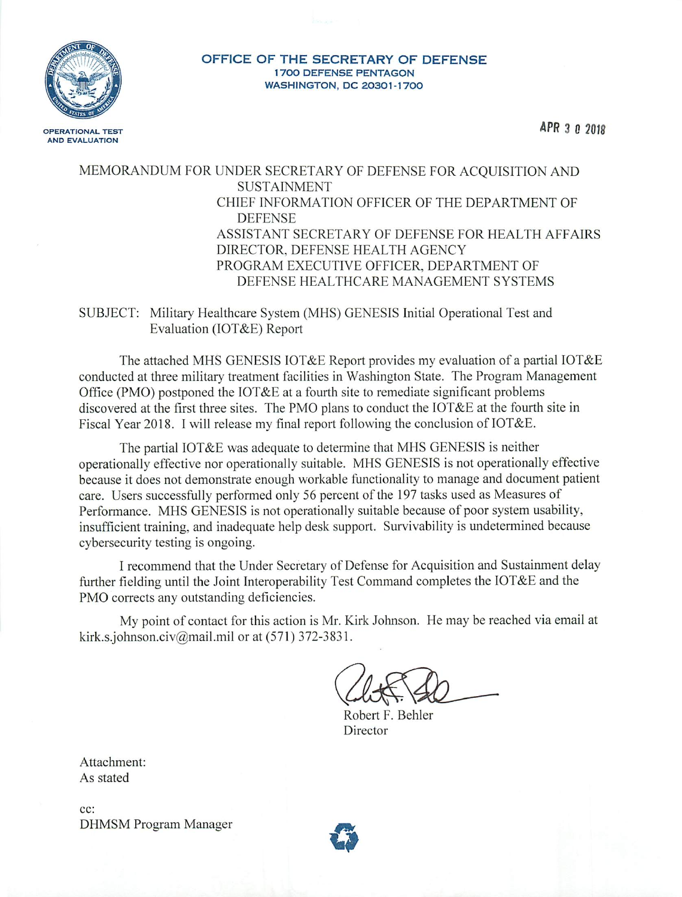

#### OFFICE OF THE SECRETARY OF DEFENSE **1700 DEFENSE PENTAGON** WASHINGTON, DC 20301-1700

APR 3 0 2018

# MEMORANDUM FOR UNDER SECRETARY OF DEFENSE FOR ACQUISITION AND **SUSTAINMENT** CHIEF INFORMATION OFFICER OF THE DEPARTMENT OF **DEFENSE** ASSISTANT SECRETARY OF DEFENSE FOR HEALTH AFFAIRS DIRECTOR, DEFENSE HEALTH AGENCY PROGRAM EXECUTIVE OFFICER, DEPARTMENT OF DEFENSE HEALTHCARE MANAGEMENT SYSTEMS

SUBJECT: Military Healthcare System (MHS) GENESIS Initial Operational Test and Evaluation (IOT&E) Report

The attached MHS GENESIS IOT&E Report provides my evaluation of a partial IOT&E conducted at three military treatment facilities in Washington State. The Program Management Office (PMO) postponed the IOT&E at a fourth site to remediate significant problems discovered at the first three sites. The PMO plans to conduct the IOT&E at the fourth site in Fiscal Year 2018. I will release my final report following the conclusion of IOT&E.

The partial IOT&E was adequate to determine that MHS GENESIS is neither operationally effective nor operationally suitable. MHS GENESIS is not operationally effective because it does not demonstrate enough workable functionality to manage and document patient care. Users successfully performed only 56 percent of the 197 tasks used as Measures of Performance. MHS GENESIS is not operationally suitable because of poor system usability, insufficient training, and inadequate help desk support. Survivability is undetermined because cybersecurity testing is ongoing.

I recommend that the Under Secretary of Defense for Acquisition and Sustainment delay further fielding until the Joint Interoperability Test Command completes the IOT&E and the PMO corrects any outstanding deficiencies.

My point of contact for this action is Mr. Kirk Johnson. He may be reached via email at kirk.s.johnson.civ@mail.mil or at (571) 372-3831.

Robert F. Behler Director

Attachment: As stated

cc: **DHMSM** Program Manager

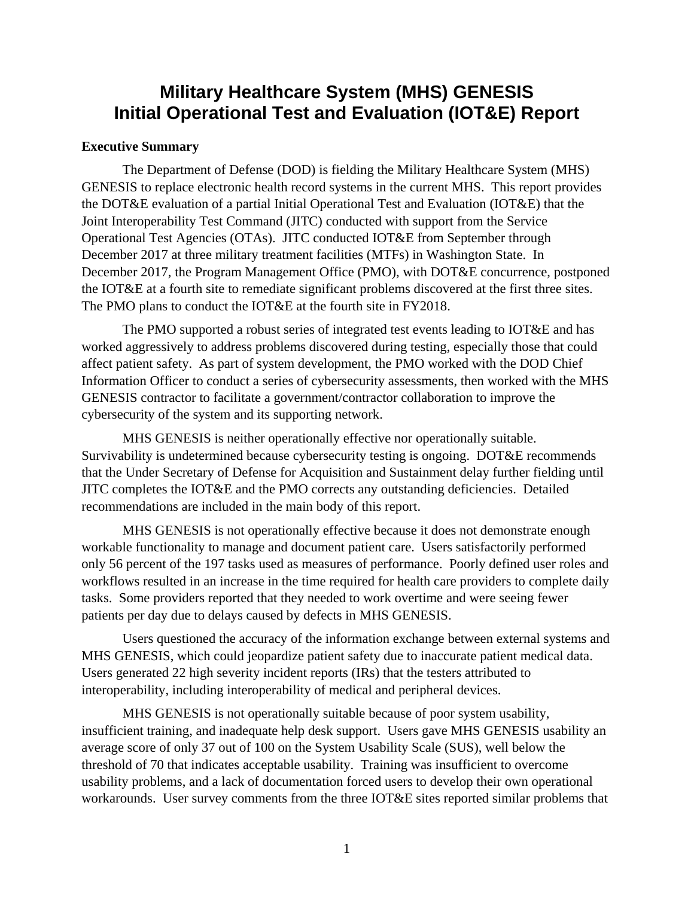# **Military Healthcare System (MHS) GENESIS Initial Operational Test and Evaluation (IOT&E) Report**

#### **Executive Summary**

The Department of Defense (DOD) is fielding the Military Healthcare System (MHS) GENESIS to replace electronic health record systems in the current MHS. This report provides the DOT&E evaluation of a partial Initial Operational Test and Evaluation (IOT&E) that the Joint Interoperability Test Command (JITC) conducted with support from the Service Operational Test Agencies (OTAs). JITC conducted IOT&E from September through December 2017 at three military treatment facilities (MTFs) in Washington State. In December 2017, the Program Management Office (PMO), with DOT&E concurrence, postponed the IOT&E at a fourth site to remediate significant problems discovered at the first three sites. The PMO plans to conduct the IOT&E at the fourth site in FY2018.

The PMO supported a robust series of integrated test events leading to IOT&E and has worked aggressively to address problems discovered during testing, especially those that could affect patient safety. As part of system development, the PMO worked with the DOD Chief Information Officer to conduct a series of cybersecurity assessments, then worked with the MHS GENESIS contractor to facilitate a government/contractor collaboration to improve the cybersecurity of the system and its supporting network.

MHS GENESIS is neither operationally effective nor operationally suitable. Survivability is undetermined because cybersecurity testing is ongoing. DOT&E recommends that the Under Secretary of Defense for Acquisition and Sustainment delay further fielding until JITC completes the IOT&E and the PMO corrects any outstanding deficiencies. Detailed recommendations are included in the main body of this report.

MHS GENESIS is not operationally effective because it does not demonstrate enough workable functionality to manage and document patient care. Users satisfactorily performed only 56 percent of the 197 tasks used as measures of performance. Poorly defined user roles and workflows resulted in an increase in the time required for health care providers to complete daily tasks. Some providers reported that they needed to work overtime and were seeing fewer patients per day due to delays caused by defects in MHS GENESIS.

Users questioned the accuracy of the information exchange between external systems and MHS GENESIS, which could jeopardize patient safety due to inaccurate patient medical data. Users generated 22 high severity incident reports (IRs) that the testers attributed to interoperability, including interoperability of medical and peripheral devices.

MHS GENESIS is not operationally suitable because of poor system usability, insufficient training, and inadequate help desk support. Users gave MHS GENESIS usability an average score of only 37 out of 100 on the System Usability Scale (SUS), well below the threshold of 70 that indicates acceptable usability. Training was insufficient to overcome usability problems, and a lack of documentation forced users to develop their own operational workarounds. User survey comments from the three IOT&E sites reported similar problems that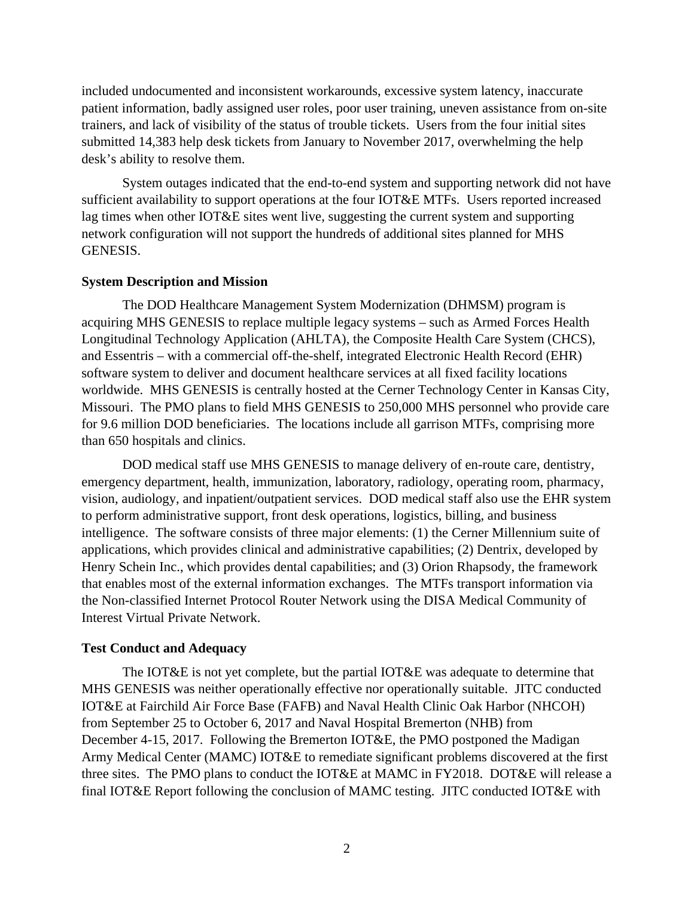included undocumented and inconsistent workarounds, excessive system latency, inaccurate patient information, badly assigned user roles, poor user training, uneven assistance from on-site trainers, and lack of visibility of the status of trouble tickets. Users from the four initial sites submitted 14,383 help desk tickets from January to November 2017, overwhelming the help desk's ability to resolve them.

System outages indicated that the end-to-end system and supporting network did not have sufficient availability to support operations at the four IOT&E MTFs. Users reported increased lag times when other IOT&E sites went live, suggesting the current system and supporting network configuration will not support the hundreds of additional sites planned for MHS GENESIS.

#### **System Description and Mission**

The DOD Healthcare Management System Modernization (DHMSM) program is acquiring MHS GENESIS to replace multiple legacy systems – such as Armed Forces Health Longitudinal Technology Application (AHLTA), the Composite Health Care System (CHCS), and Essentris – with a commercial off-the-shelf, integrated Electronic Health Record (EHR) software system to deliver and document healthcare services at all fixed facility locations worldwide. MHS GENESIS is centrally hosted at the Cerner Technology Center in Kansas City, Missouri. The PMO plans to field MHS GENESIS to 250,000 MHS personnel who provide care for 9.6 million DOD beneficiaries. The locations include all garrison MTFs, comprising more than 650 hospitals and clinics.

DOD medical staff use MHS GENESIS to manage delivery of en-route care, dentistry, emergency department, health, immunization, laboratory, radiology, operating room, pharmacy, vision, audiology, and inpatient/outpatient services. DOD medical staff also use the EHR system to perform administrative support, front desk operations, logistics, billing, and business intelligence. The software consists of three major elements: (1) the Cerner Millennium suite of applications, which provides clinical and administrative capabilities; (2) Dentrix, developed by Henry Schein Inc., which provides dental capabilities; and (3) Orion Rhapsody, the framework that enables most of the external information exchanges. The MTFs transport information via the Non-classified Internet Protocol Router Network using the DISA Medical Community of Interest Virtual Private Network.

## **Test Conduct and Adequacy**

The IOT&E is not yet complete, but the partial IOT&E was adequate to determine that MHS GENESIS was neither operationally effective nor operationally suitable. JITC conducted IOT&E at Fairchild Air Force Base (FAFB) and Naval Health Clinic Oak Harbor (NHCOH) from September 25 to October 6, 2017 and Naval Hospital Bremerton (NHB) from December 4-15, 2017. Following the Bremerton IOT&E, the PMO postponed the Madigan Army Medical Center (MAMC) IOT&E to remediate significant problems discovered at the first three sites. The PMO plans to conduct the IOT&E at MAMC in FY2018. DOT&E will release a final IOT&E Report following the conclusion of MAMC testing. JITC conducted IOT&E with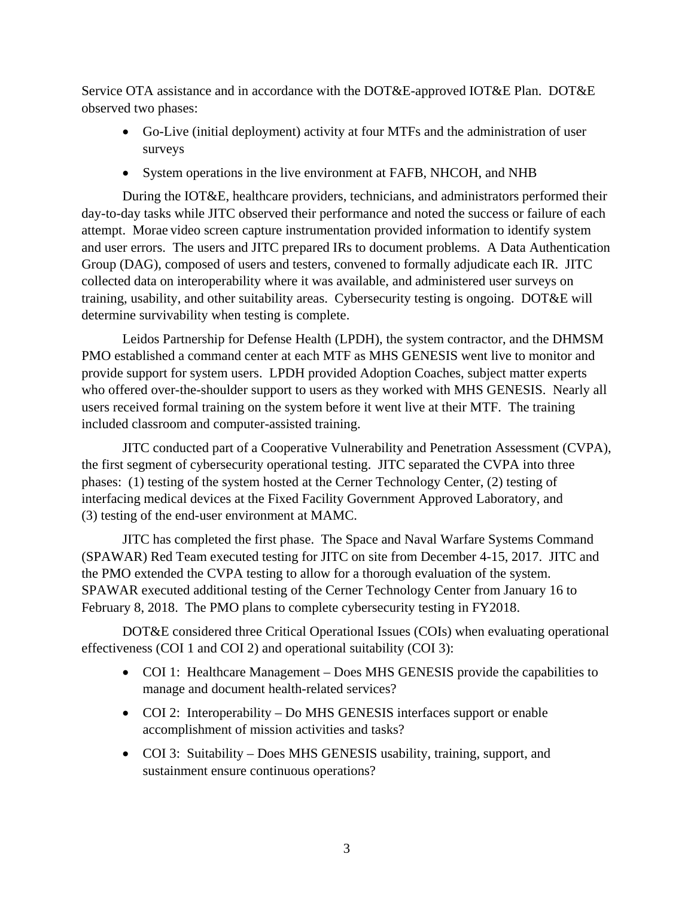Service OTA assistance and in accordance with the DOT&E-approved IOT&E Plan. DOT&E observed two phases:

- Go-Live (initial deployment) activity at four MTFs and the administration of user surveys
- System operations in the live environment at FAFB, NHCOH, and NHB

During the IOT&E, healthcare providers, technicians, and administrators performed their day-to-day tasks while JITC observed their performance and noted the success or failure of each attempt. Morae video screen capture instrumentation provided information to identify system and user errors. The users and JITC prepared IRs to document problems. A Data Authentication Group (DAG), composed of users and testers, convened to formally adjudicate each IR. JITC collected data on interoperability where it was available, and administered user surveys on training, usability, and other suitability areas. Cybersecurity testing is ongoing. DOT&E will determine survivability when testing is complete.

Leidos Partnership for Defense Health (LPDH), the system contractor, and the DHMSM PMO established a command center at each MTF as MHS GENESIS went live to monitor and provide support for system users. LPDH provided Adoption Coaches, subject matter experts who offered over-the-shoulder support to users as they worked with MHS GENESIS. Nearly all users received formal training on the system before it went live at their MTF. The training included classroom and computer-assisted training.

JITC conducted part of a Cooperative Vulnerability and Penetration Assessment (CVPA), the first segment of cybersecurity operational testing. JITC separated the CVPA into three phases: (1) testing of the system hosted at the Cerner Technology Center, (2) testing of interfacing medical devices at the Fixed Facility Government Approved Laboratory, and (3) testing of the end-user environment at MAMC.

JITC has completed the first phase. The Space and Naval Warfare Systems Command (SPAWAR) Red Team executed testing for JITC on site from December 4-15, 2017. JITC and the PMO extended the CVPA testing to allow for a thorough evaluation of the system. SPAWAR executed additional testing of the Cerner Technology Center from January 16 to February 8, 2018. The PMO plans to complete cybersecurity testing in FY2018.

DOT&E considered three Critical Operational Issues (COIs) when evaluating operational effectiveness (COI 1 and COI 2) and operational suitability (COI 3):

- COI 1: Healthcare Management Does MHS GENESIS provide the capabilities to manage and document health-related services?
- COI 2: Interoperability Do MHS GENESIS interfaces support or enable accomplishment of mission activities and tasks?
- COI 3: Suitability Does MHS GENESIS usability, training, support, and sustainment ensure continuous operations?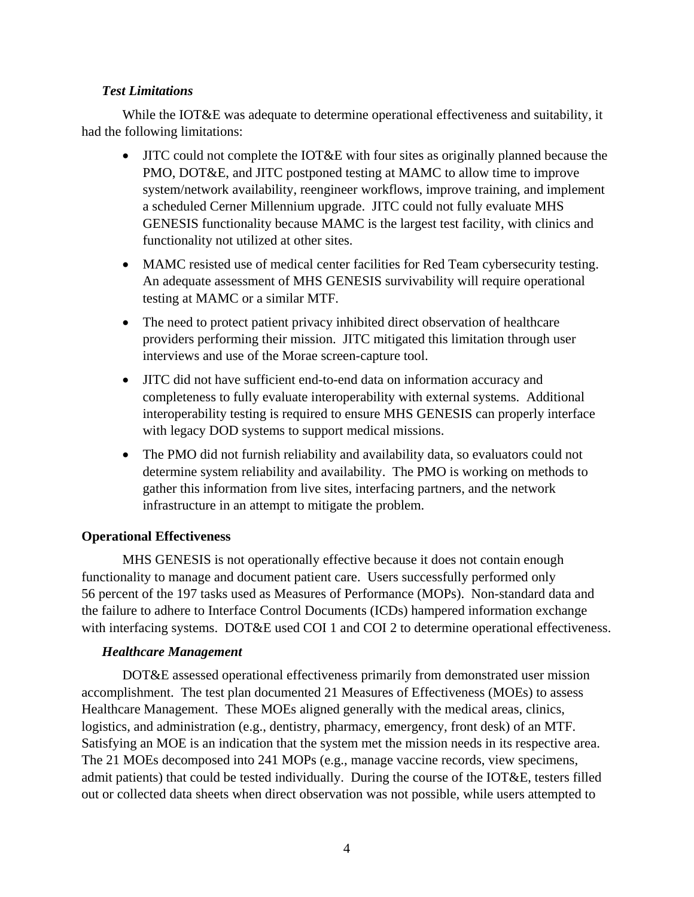## *Test Limitations*

While the IOT&E was adequate to determine operational effectiveness and suitability, it had the following limitations:

- JITC could not complete the IOT&E with four sites as originally planned because the PMO, DOT&E, and JITC postponed testing at MAMC to allow time to improve system/network availability, reengineer workflows, improve training, and implement a scheduled Cerner Millennium upgrade. JITC could not fully evaluate MHS GENESIS functionality because MAMC is the largest test facility, with clinics and functionality not utilized at other sites.
- MAMC resisted use of medical center facilities for Red Team cybersecurity testing. An adequate assessment of MHS GENESIS survivability will require operational testing at MAMC or a similar MTF.
- The need to protect patient privacy inhibited direct observation of healthcare providers performing their mission. JITC mitigated this limitation through user interviews and use of the Morae screen-capture tool.
- JITC did not have sufficient end-to-end data on information accuracy and completeness to fully evaluate interoperability with external systems. Additional interoperability testing is required to ensure MHS GENESIS can properly interface with legacy DOD systems to support medical missions.
- The PMO did not furnish reliability and availability data, so evaluators could not determine system reliability and availability. The PMO is working on methods to gather this information from live sites, interfacing partners, and the network infrastructure in an attempt to mitigate the problem.

# **Operational Effectiveness**

MHS GENESIS is not operationally effective because it does not contain enough functionality to manage and document patient care. Users successfully performed only 56 percent of the 197 tasks used as Measures of Performance (MOPs). Non-standard data and the failure to adhere to Interface Control Documents (ICDs) hampered information exchange with interfacing systems. DOT&E used COI 1 and COI 2 to determine operational effectiveness.

## *Healthcare Management*

DOT&E assessed operational effectiveness primarily from demonstrated user mission accomplishment. The test plan documented 21 Measures of Effectiveness (MOEs) to assess Healthcare Management. These MOEs aligned generally with the medical areas, clinics, logistics, and administration (e.g., dentistry, pharmacy, emergency, front desk) of an MTF. Satisfying an MOE is an indication that the system met the mission needs in its respective area. The 21 MOEs decomposed into 241 MOPs (e.g., manage vaccine records, view specimens, admit patients) that could be tested individually. During the course of the IOT&E, testers filled out or collected data sheets when direct observation was not possible, while users attempted to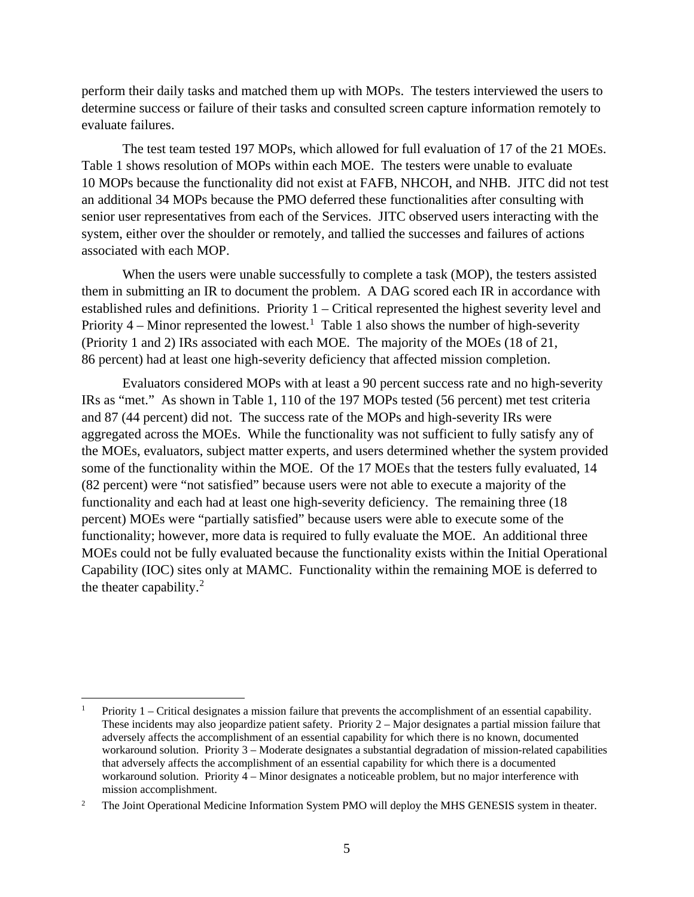perform their daily tasks and matched them up with MOPs. The testers interviewed the users to determine success or failure of their tasks and consulted screen capture information remotely to evaluate failures.

The test team tested 197 MOPs, which allowed for full evaluation of 17 of the 21 MOEs. Table 1 shows resolution of MOPs within each MOE. The testers were unable to evaluate 10 MOPs because the functionality did not exist at FAFB, NHCOH, and NHB. JITC did not test an additional 34 MOPs because the PMO deferred these functionalities after consulting with senior user representatives from each of the Services. JITC observed users interacting with the system, either over the shoulder or remotely, and tallied the successes and failures of actions associated with each MOP.

When the users were unable successfully to complete a task (MOP), the testers assisted them in submitting an IR to document the problem. A DAG scored each IR in accordance with established rules and definitions. Priority 1 – Critical represented the highest severity level and Priority  $4$  – Minor represented the lowest.<sup>[1](#page-5-0)</sup> Table 1 also shows the number of high-severity (Priority 1 and 2) IRs associated with each MOE. The majority of the MOEs (18 of 21, 86 percent) had at least one high-severity deficiency that affected mission completion.

Evaluators considered MOPs with at least a 90 percent success rate and no high-severity IRs as "met." As shown in [Table](#page-6-0) 1, 110 of the 197 MOPs tested (56 percent) met test criteria and 87 (44 percent) did not. The success rate of the MOPs and high-severity IRs were aggregated across the MOEs. While the functionality was not sufficient to fully satisfy any of the MOEs, evaluators, subject matter experts, and users determined whether the system provided some of the functionality within the MOE. Of the 17 MOEs that the testers fully evaluated, 14 (82 percent) were "not satisfied" because users were not able to execute a majority of the functionality and each had at least one high-severity deficiency. The remaining three (18 percent) MOEs were "partially satisfied" because users were able to execute some of the functionality; however, more data is required to fully evaluate the MOE. An additional three MOEs could not be fully evaluated because the functionality exists within the Initial Operational Capability (IOC) sites only at MAMC. Functionality within the remaining MOE is deferred to the theater capability. $2$ 

<span id="page-5-0"></span> <sup>1</sup> Priority 1 – Critical designates a mission failure that prevents the accomplishment of an essential capability. These incidents may also jeopardize patient safety. Priority 2 – Major designates a partial mission failure that adversely affects the accomplishment of an essential capability for which there is no known, documented workaround solution. Priority 3 – Moderate designates a substantial degradation of mission-related capabilities that adversely affects the accomplishment of an essential capability for which there is a documented workaround solution. Priority 4 – Minor designates a noticeable problem, but no major interference with mission accomplishment.

<span id="page-5-1"></span><sup>&</sup>lt;sup>2</sup> The Joint Operational Medicine Information System PMO will deploy the MHS GENESIS system in theater.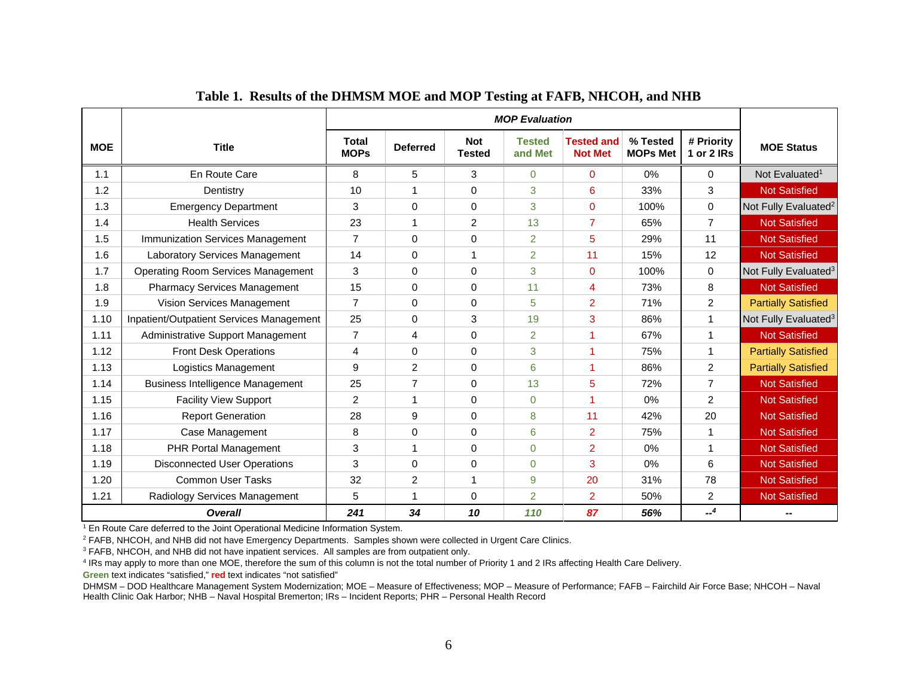<span id="page-6-0"></span>

|            |                                                 | <b>MOP Evaluation</b> |                 |                             |                          |                                     |                             |                          |                                  |
|------------|-------------------------------------------------|-----------------------|-----------------|-----------------------------|--------------------------|-------------------------------------|-----------------------------|--------------------------|----------------------------------|
| <b>MOE</b> | <b>Title</b>                                    | Total<br><b>MOPs</b>  | <b>Deferred</b> | <b>Not</b><br><b>Tested</b> | <b>Tested</b><br>and Met | <b>Tested and</b><br><b>Not Met</b> | % Tested<br><b>MOPs Met</b> | # Priority<br>1 or 2 IRs | <b>MOE Status</b>                |
| 1.1        | En Route Care                                   | 8                     | 5               | 3                           | $\Omega$                 | $\Omega$                            | 0%                          | 0                        | Not Evaluated <sup>1</sup>       |
| 1.2        | Dentistry                                       | 10                    |                 | $\Omega$                    | 3                        | 6                                   | 33%                         | 3                        | <b>Not Satisfied</b>             |
| 1.3        | <b>Emergency Department</b>                     | 3                     | 0               | $\mathbf{0}$                | 3                        | $\mathbf 0$                         | 100%                        | 0                        | Not Fully Evaluated <sup>2</sup> |
| 1.4        | <b>Health Services</b>                          | 23                    |                 | $\overline{2}$              | 13                       | $\overline{7}$                      | 65%                         | 7                        | <b>Not Satisfied</b>             |
| 1.5        | Immunization Services Management                | $\overline{7}$        | $\Omega$        | $\Omega$                    | $\overline{2}$           | 5                                   | 29%                         | 11                       | <b>Not Satisfied</b>             |
| 1.6        | <b>Laboratory Services Management</b>           | 14                    | $\Omega$        | 1                           | $\overline{2}$           | 11                                  | 15%                         | 12                       | <b>Not Satisfied</b>             |
| 1.7        | <b>Operating Room Services Management</b>       | 3                     | $\Omega$        | $\Omega$                    | 3                        | $\Omega$                            | 100%                        | 0                        | Not Fully Evaluated <sup>3</sup> |
| 1.8        | <b>Pharmacy Services Management</b>             | 15                    | $\Omega$        | $\Omega$                    | 11                       | $\overline{4}$                      | 73%                         | 8                        | <b>Not Satisfied</b>             |
| 1.9        | Vision Services Management                      | $\overline{7}$        | $\Omega$        | $\Omega$                    | 5                        | $\overline{2}$                      | 71%                         | $\overline{2}$           | <b>Partially Satisfied</b>       |
| 1.10       | <b>Inpatient/Outpatient Services Management</b> | 25                    | 0               | 3                           | 19                       | 3                                   | 86%                         | 1                        | Not Fully Evaluated <sup>3</sup> |
| 1.11       | Administrative Support Management               | $\overline{7}$        | 4               | $\Omega$                    | 2                        | 1                                   | 67%                         | 1                        | <b>Not Satisfied</b>             |
| 1.12       | <b>Front Desk Operations</b>                    | 4                     | 0               | $\mathbf 0$                 | 3                        | -1                                  | 75%                         | 1                        | <b>Partially Satisfied</b>       |
| 1.13       | Logistics Management                            | 9                     | 2               | $\Omega$                    | 6                        | 1                                   | 86%                         | $\overline{2}$           | <b>Partially Satisfied</b>       |
| 1.14       | <b>Business Intelligence Management</b>         | 25                    | $\overline{7}$  | $\Omega$                    | 13                       | 5                                   | 72%                         | $\overline{7}$           | <b>Not Satisfied</b>             |
| 1.15       | <b>Facility View Support</b>                    | $\overline{2}$        |                 | $\Omega$                    | $\Omega$                 | 1                                   | 0%                          | $\overline{2}$           | <b>Not Satisfied</b>             |
| 1.16       | <b>Report Generation</b>                        | 28                    | 9               | $\Omega$                    | 8                        | 11                                  | 42%                         | 20                       | <b>Not Satisfied</b>             |
| 1.17       | Case Management                                 | 8                     | $\Omega$        | $\Omega$                    | 6                        | $\overline{2}$                      | 75%                         | 1                        | <b>Not Satisfied</b>             |
| 1.18       | <b>PHR Portal Management</b>                    | 3                     |                 | $\Omega$                    | $\overline{0}$           | $\overline{2}$                      | $0\%$                       | 1                        | <b>Not Satisfied</b>             |
| 1.19       | <b>Disconnected User Operations</b>             | 3                     | $\Omega$        | $\Omega$                    | $\Omega$                 | 3                                   | 0%                          | 6                        | <b>Not Satisfied</b>             |
| 1.20       | <b>Common User Tasks</b>                        | 32                    | $\overline{c}$  | 1                           | 9                        | 20                                  | 31%                         | 78                       | <b>Not Satisfied</b>             |
| 1.21       | Radiology Services Management                   | 5                     |                 | 0                           | 2                        | $\overline{2}$                      | 50%                         | $\overline{2}$           | <b>Not Satisfied</b>             |
|            | <b>Overall</b>                                  | 241                   | 34              | 10                          | 110                      | 87                                  | 56%                         | $-4$                     |                                  |

### **Table 1. Results of the DHMSM MOE and MOP Testing at FAFB, NHCOH, and NHB**

<sup>1</sup> En Route Care deferred to the Joint Operational Medicine Information System.

<sup>2</sup> FAFB, NHCOH, and NHB did not have Emergency Departments. Samples shown were collected in Urgent Care Clinics.

<sup>3</sup> FAFB, NHCOH, and NHB did not have inpatient services. All samples are from outpatient only.

<sup>4</sup> IRs may apply to more than one MOE, therefore the sum of this column is not the total number of Priority 1 and 2 IRs affecting Health Care Delivery.

**Green** text indicates "satisfied," **red** text indicates "not satisfied"

DHMSM – DOD Healthcare Management System Modernization; MOE – Measure of Effectiveness; MOP – Measure of Performance; FAFB – Fairchild Air Force Base; NHCOH – Naval Health Clinic Oak Harbor; NHB – Naval Hospital Bremerton; IRs – Incident Reports; PHR – Personal Health Record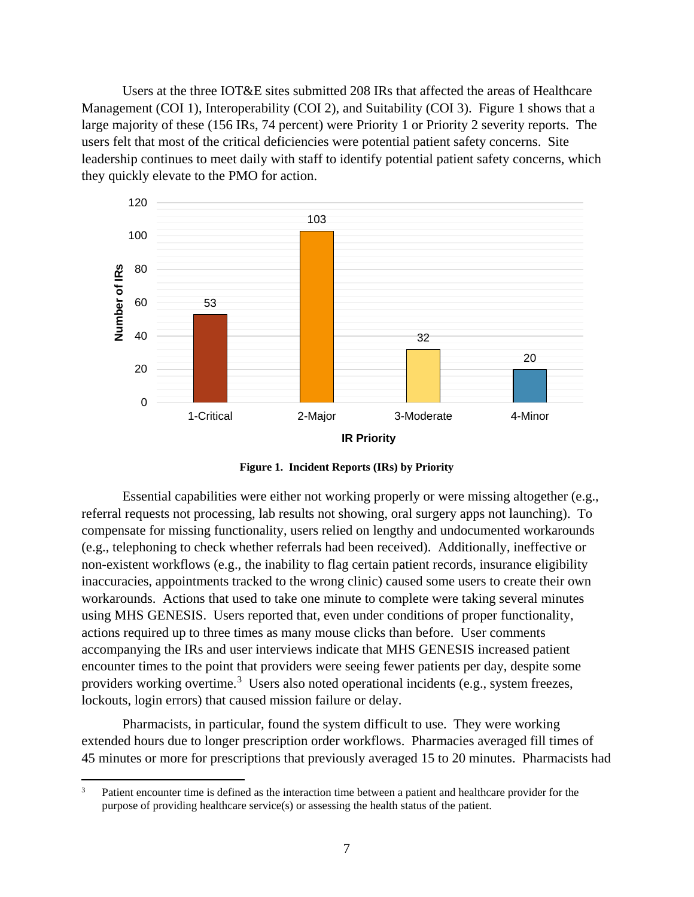Users at the three IOT&E sites submitted 208 IRs that affected the areas of Healthcare Management (COI 1), Interoperability (COI 2), and Suitability (COI 3). Figure 1 shows that a large majority of these (156 IRs, 74 percent) were Priority 1 or Priority 2 severity reports. The users felt that most of the critical deficiencies were potential patient safety concerns. Site leadership continues to meet daily with staff to identify potential patient safety concerns, which they quickly elevate to the PMO for action.



**Figure 1. Incident Reports (IRs) by Priority**

Essential capabilities were either not working properly or were missing altogether (e.g., referral requests not processing, lab results not showing, oral surgery apps not launching). To compensate for missing functionality, users relied on lengthy and undocumented workarounds (e.g., telephoning to check whether referrals had been received). Additionally, ineffective or non-existent workflows (e.g., the inability to flag certain patient records, insurance eligibility inaccuracies, appointments tracked to the wrong clinic) caused some users to create their own workarounds. Actions that used to take one minute to complete were taking several minutes using MHS GENESIS. Users reported that, even under conditions of proper functionality, actions required up to three times as many mouse clicks than before. User comments accompanying the IRs and user interviews indicate that MHS GENESIS increased patient encounter times to the point that providers were seeing fewer patients per day, despite some providers working overtime.<sup>[3](#page-7-0)</sup> Users also noted operational incidents (e.g., system freezes, lockouts, login errors) that caused mission failure or delay.

Pharmacists, in particular, found the system difficult to use. They were working extended hours due to longer prescription order workflows. Pharmacies averaged fill times of 45 minutes or more for prescriptions that previously averaged 15 to 20 minutes. Pharmacists had

<span id="page-7-0"></span><sup>&</sup>lt;sup>3</sup> Patient encounter time is defined as the interaction time between a patient and healthcare provider for the purpose of providing healthcare service(s) or assessing the health status of the patient.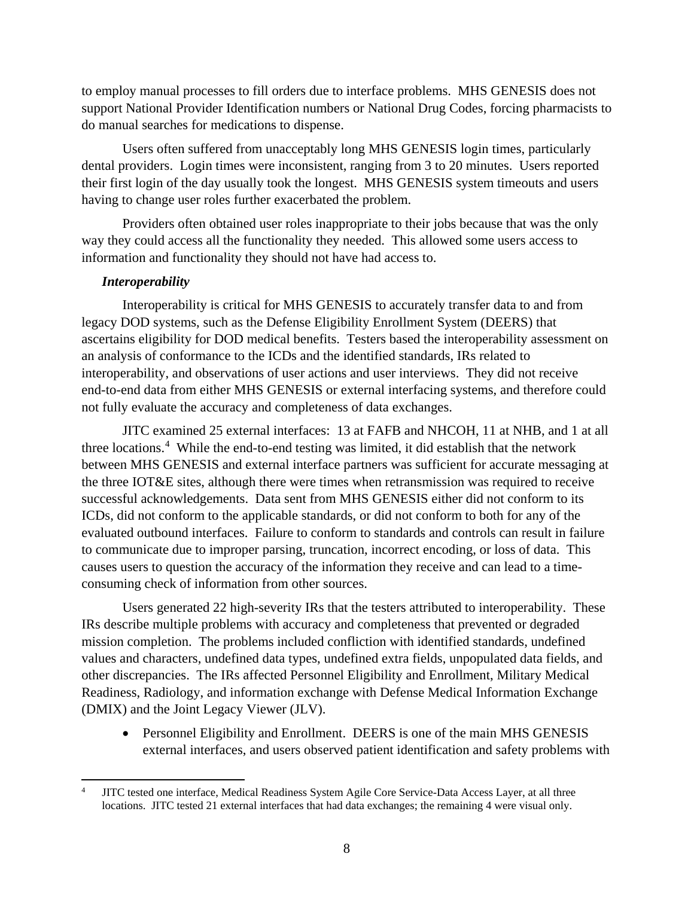to employ manual processes to fill orders due to interface problems. MHS GENESIS does not support National Provider Identification numbers or National Drug Codes, forcing pharmacists to do manual searches for medications to dispense.

Users often suffered from unacceptably long MHS GENESIS login times, particularly dental providers. Login times were inconsistent, ranging from 3 to 20 minutes. Users reported their first login of the day usually took the longest. MHS GENESIS system timeouts and users having to change user roles further exacerbated the problem.

Providers often obtained user roles inappropriate to their jobs because that was the only way they could access all the functionality they needed. This allowed some users access to information and functionality they should not have had access to.

## *Interoperability*

Interoperability is critical for MHS GENESIS to accurately transfer data to and from legacy DOD systems, such as the Defense Eligibility Enrollment System (DEERS) that ascertains eligibility for DOD medical benefits. Testers based the interoperability assessment on an analysis of conformance to the ICDs and the identified standards, IRs related to interoperability, and observations of user actions and user interviews. They did not receive end-to-end data from either MHS GENESIS or external interfacing systems, and therefore could not fully evaluate the accuracy and completeness of data exchanges.

JITC examined 25 external interfaces: 13 at FAFB and NHCOH, 11 at NHB, and 1 at all three locations. [4](#page-8-0) While the end-to-end testing was limited, it did establish that the network between MHS GENESIS and external interface partners was sufficient for accurate messaging at the three IOT&E sites, although there were times when retransmission was required to receive successful acknowledgements. Data sent from MHS GENESIS either did not conform to its ICDs, did not conform to the applicable standards, or did not conform to both for any of the evaluated outbound interfaces. Failure to conform to standards and controls can result in failure to communicate due to improper parsing, truncation, incorrect encoding, or loss of data. This causes users to question the accuracy of the information they receive and can lead to a timeconsuming check of information from other sources.

Users generated 22 high-severity IRs that the testers attributed to interoperability. These IRs describe multiple problems with accuracy and completeness that prevented or degraded mission completion. The problems included confliction with identified standards, undefined values and characters, undefined data types, undefined extra fields, unpopulated data fields, and other discrepancies. The IRs affected Personnel Eligibility and Enrollment, Military Medical Readiness, Radiology, and information exchange with Defense Medical Information Exchange (DMIX) and the Joint Legacy Viewer (JLV).

• Personnel Eligibility and Enrollment. DEERS is one of the main MHS GENESIS external interfaces, and users observed patient identification and safety problems with

<span id="page-8-0"></span> <sup>4</sup> JITC tested one interface, Medical Readiness System Agile Core Service-Data Access Layer, at all three locations. JITC tested 21 external interfaces that had data exchanges; the remaining 4 were visual only.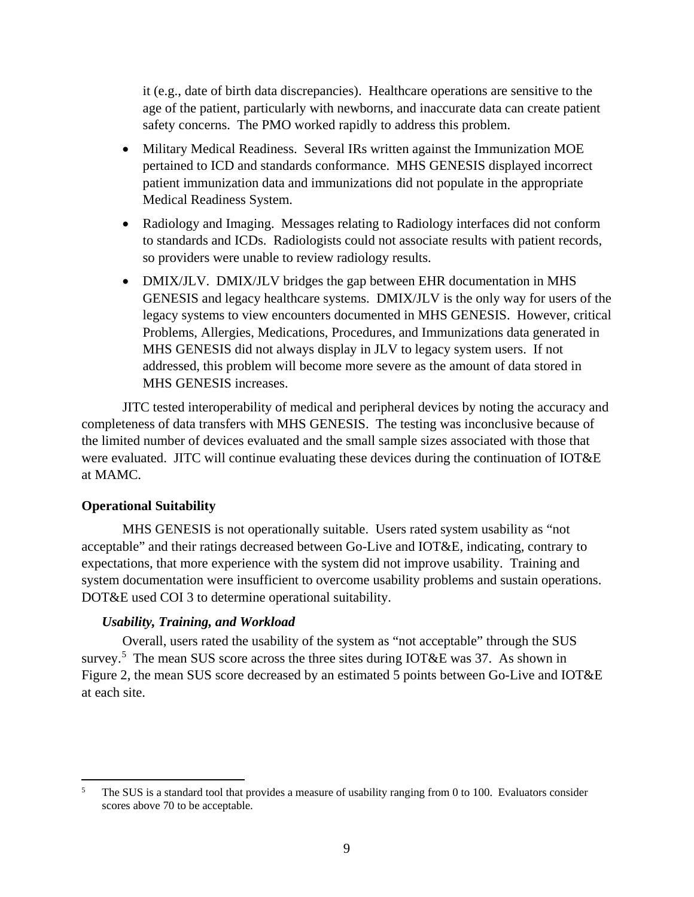it (e.g., date of birth data discrepancies). Healthcare operations are sensitive to the age of the patient, particularly with newborns, and inaccurate data can create patient safety concerns. The PMO worked rapidly to address this problem.

- Military Medical Readiness. Several IRs written against the Immunization MOE pertained to ICD and standards conformance. MHS GENESIS displayed incorrect patient immunization data and immunizations did not populate in the appropriate Medical Readiness System.
- Radiology and Imaging. Messages relating to Radiology interfaces did not conform to standards and ICDs. Radiologists could not associate results with patient records, so providers were unable to review radiology results.
- DMIX/JLV. DMIX/JLV bridges the gap between EHR documentation in MHS GENESIS and legacy healthcare systems. DMIX/JLV is the only way for users of the legacy systems to view encounters documented in MHS GENESIS. However, critical Problems, Allergies, Medications, Procedures, and Immunizations data generated in MHS GENESIS did not always display in JLV to legacy system users. If not addressed, this problem will become more severe as the amount of data stored in MHS GENESIS increases.

JITC tested interoperability of medical and peripheral devices by noting the accuracy and completeness of data transfers with MHS GENESIS. The testing was inconclusive because of the limited number of devices evaluated and the small sample sizes associated with those that were evaluated. JITC will continue evaluating these devices during the continuation of IOT&E at MAMC.

#### **Operational Suitability**

MHS GENESIS is not operationally suitable. Users rated system usability as "not acceptable" and their ratings decreased between Go-Live and IOT&E, indicating, contrary to expectations, that more experience with the system did not improve usability. Training and system documentation were insufficient to overcome usability problems and sustain operations. DOT&E used COI 3 to determine operational suitability.

#### *Usability, Training, and Workload*

Overall, users rated the usability of the system as "not acceptable" through the SUS survey.<sup>[5](#page-9-0)</sup> The mean SUS score across the three sites during IOT&E was 37. As shown in Figure 2, the mean SUS score decreased by an estimated 5 points between Go-Live and IOT&E at each site.

<span id="page-9-0"></span><sup>&</sup>lt;sup>5</sup> The SUS is a standard tool that provides a measure of usability ranging from 0 to 100. Evaluators consider scores above 70 to be acceptable.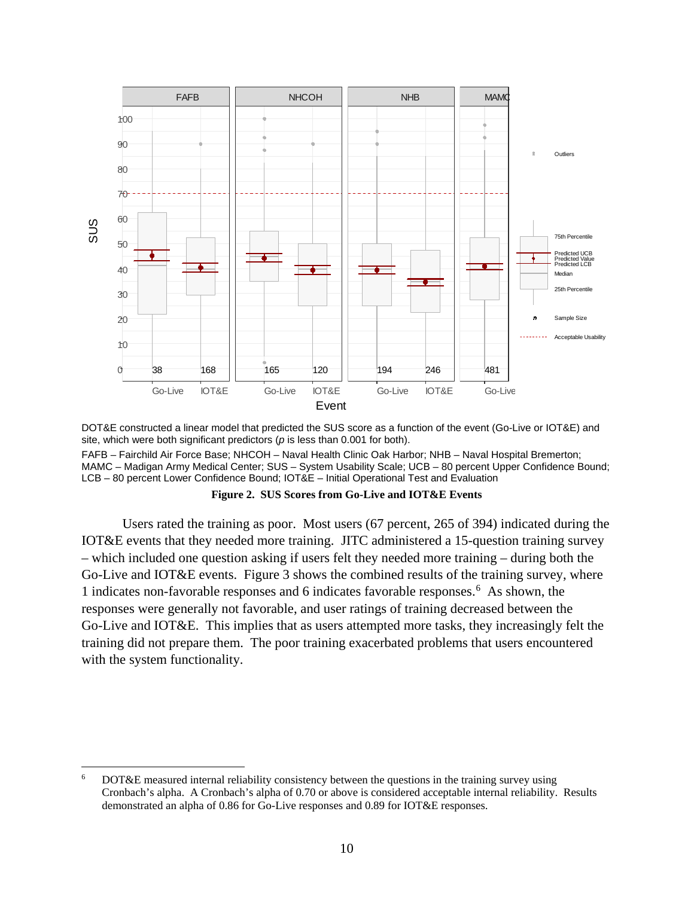

DOT&E constructed a linear model that predicted the SUS score as a function of the event (Go-Live or IOT&E) and site, which were both significant predictors (*p* is less than 0.001 for both).

FAFB – Fairchild Air Force Base; NHCOH – Naval Health Clinic Oak Harbor; NHB – Naval Hospital Bremerton; MAMC – Madigan Army Medical Center; SUS – System Usability Scale; UCB – 80 percent Upper Confidence Bound; LCB – 80 percent Lower Confidence Bound; IOT&E – Initial Operational Test and Evaluation

**Figure 2. SUS Scores from Go-Live and IOT&E Events**

Users rated the training as poor. Most users (67 percent, 265 of 394) indicated during the IOT&E events that they needed more training. JITC administered a 15-question training survey – which included one question asking if users felt they needed more training – during both the Go-Live and IOT&E events. Figure 3 shows the combined results of the training survey, where 1 indicates non-favorable responses and 6 indicates favorable responses.[6](#page-10-0) As shown, the responses were generally not favorable, and user ratings of training decreased between the Go-Live and IOT&E. This implies that as users attempted more tasks, they increasingly felt the training did not prepare them. The poor training exacerbated problems that users encountered with the system functionality.

<span id="page-10-0"></span> <sup>6</sup> DOT&E measured internal reliability consistency between the questions in the training survey using Cronbach's alpha. A Cronbach's alpha of 0.70 or above is considered acceptable internal reliability. Results demonstrated an alpha of 0.86 for Go-Live responses and 0.89 for IOT&E responses.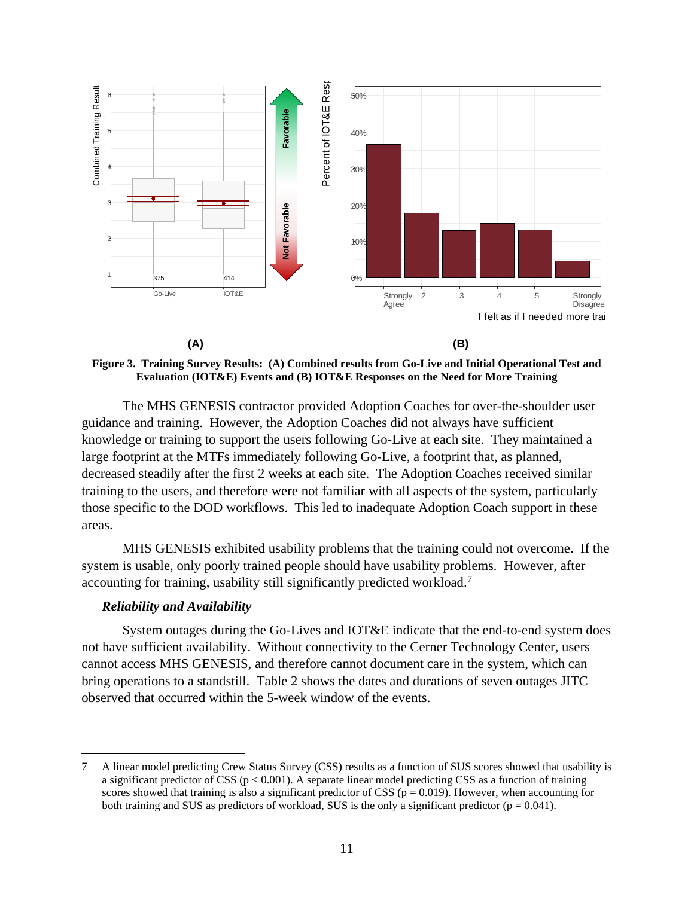

**Figure 3. Training Survey Results: (A) Combined results from Go-Live and Initial Operational Test and Evaluation (IOT&E) Events and (B) IOT&E Responses on the Need for More Training**

The MHS GENESIS contractor provided Adoption Coaches for over-the-shoulder user guidance and training. However, the Adoption Coaches did not always have sufficient knowledge or training to support the users following Go-Live at each site. They maintained a large footprint at the MTFs immediately following Go-Live, a footprint that, as planned, decreased steadily after the first 2 weeks at each site. The Adoption Coaches received similar training to the users, and therefore were not familiar with all aspects of the system, particularly those specific to the DOD workflows. This led to inadequate Adoption Coach support in these areas.

MHS GENESIS exhibited usability problems that the training could not overcome. If the system is usable, only poorly trained people should have usability problems. However, after accounting for training, usability still significantly predicted workload.[7](#page-11-0)

#### *Reliability and Availability*

System outages during the Go-Lives and IOT&E indicate that the end-to-end system does not have sufficient availability. Without connectivity to the Cerner Technology Center, users cannot access MHS GENESIS, and therefore cannot document care in the system, which can bring operations to a standstill. Table 2 shows the dates and durations of seven outages JITC observed that occurred within the 5-week window of the events.

<span id="page-11-0"></span> <sup>7</sup> A linear model predicting Crew Status Survey (CSS) results as a function of SUS scores showed that usability is a significant predictor of CSS ( $p < 0.001$ ). A separate linear model predicting CSS as a function of training scores showed that training is also a significant predictor of CSS ( $p = 0.019$ ). However, when accounting for both training and SUS as predictors of workload, SUS is the only a significant predictor  $(p = 0.041)$ .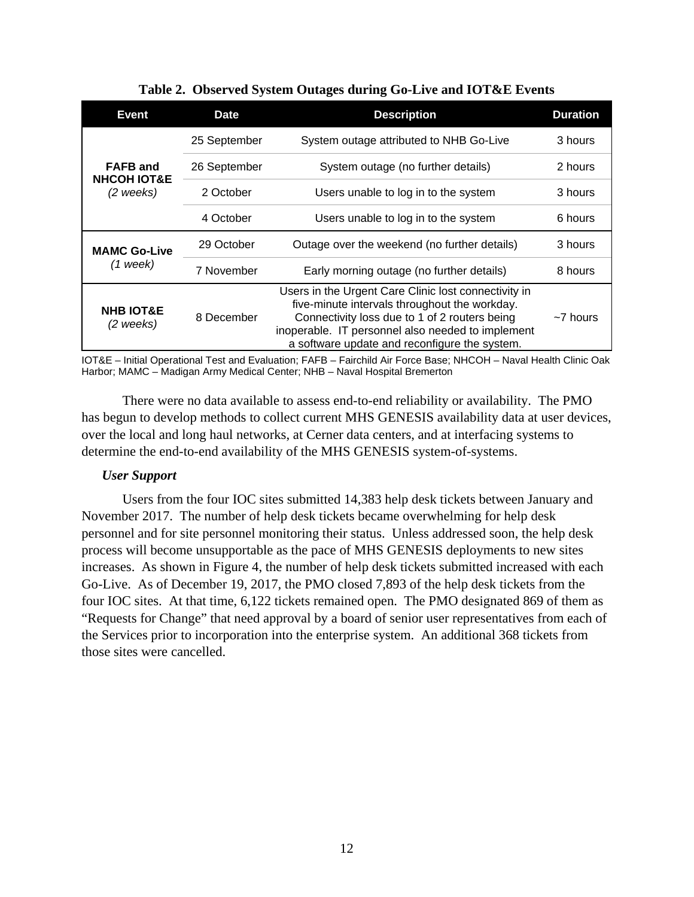<span id="page-12-0"></span>

| Event                                     | <b>Date</b>  | <b>Description</b>                                                                                                                                                                                                                                           | <b>Duration</b> |
|-------------------------------------------|--------------|--------------------------------------------------------------------------------------------------------------------------------------------------------------------------------------------------------------------------------------------------------------|-----------------|
|                                           | 25 September | System outage attributed to NHB Go-Live                                                                                                                                                                                                                      | 3 hours         |
| <b>FAFB</b> and<br><b>NHCOH IOT&amp;E</b> | 26 September | System outage (no further details)                                                                                                                                                                                                                           | 2 hours         |
| (2 weeks)                                 | 2 October    | Users unable to log in to the system                                                                                                                                                                                                                         | 3 hours         |
|                                           | 4 October    | Users unable to log in to the system                                                                                                                                                                                                                         | 6 hours         |
| <b>MAMC Go-Live</b>                       | 29 October   | Outage over the weekend (no further details)                                                                                                                                                                                                                 | 3 hours         |
| $(1$ week)                                | 7 November   | Early morning outage (no further details)                                                                                                                                                                                                                    | 8 hours         |
| <b>NHB IOT&amp;E</b><br>(2 weeks)         | 8 December   | Users in the Urgent Care Clinic lost connectivity in<br>five-minute intervals throughout the workday.<br>Connectivity loss due to 1 of 2 routers being<br>inoperable. IT personnel also needed to implement<br>a software update and reconfigure the system. | $\sim$ 7 hours  |

**Table 2. Observed System Outages during Go-Live and IOT&E Events**

IOT&E – Initial Operational Test and Evaluation; FAFB – Fairchild Air Force Base; NHCOH – Naval Health Clinic Oak Harbor; MAMC – Madigan Army Medical Center; NHB – Naval Hospital Bremerton

There were no data available to assess end-to-end reliability or availability. The PMO has begun to develop methods to collect current MHS GENESIS availability data at user devices, over the local and long haul networks, at Cerner data centers, and at interfacing systems to determine the end-to-end availability of the MHS GENESIS system-of-systems.

#### *User Support*

Users from the four IOC sites submitted 14,383 help desk tickets between January and November 2017. The number of help desk tickets became overwhelming for help desk personnel and for site personnel monitoring their status. Unless addressed soon, the help desk process will become unsupportable as the pace of MHS GENESIS deployments to new sites increases. As shown in Figure 4, the number of help desk tickets submitted increased with each Go-Live. As of December 19, 2017, the PMO closed 7,893 of the help desk tickets from the four IOC sites. At that time, 6,122 tickets remained open. The PMO designated 869 of them as "Requests for Change" that need approval by a board of senior user representatives from each of the Services prior to incorporation into the enterprise system. An additional 368 tickets from those sites were cancelled.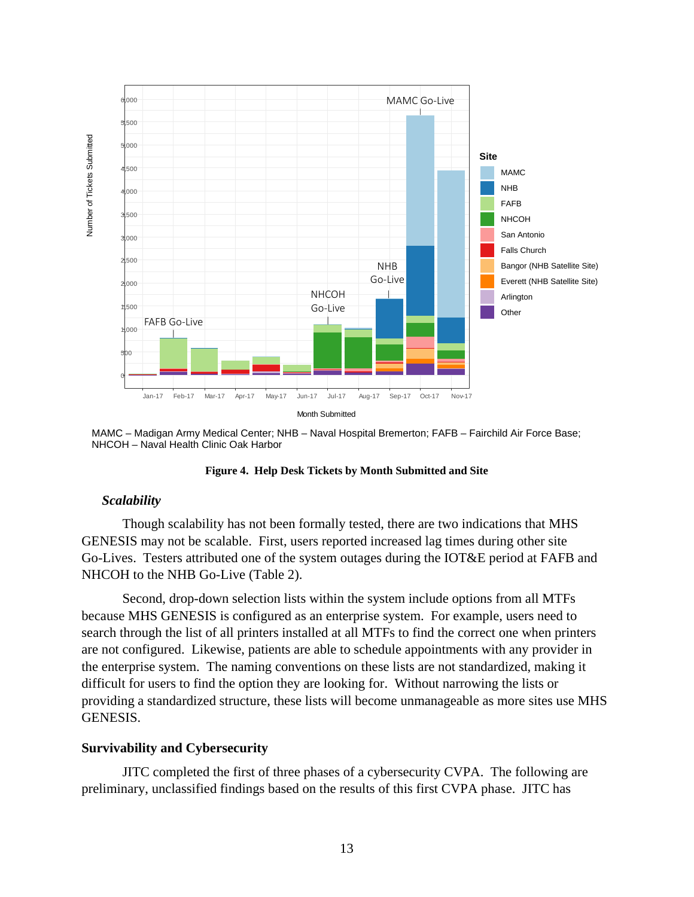

MAMC – Madigan Army Medical Center; NHB – Naval Hospital Bremerton; FAFB – Fairchild Air Force Base; NHCOH – Naval Health Clinic Oak Harbor



#### *Scalability*

Though scalability has not been formally tested, there are two indications that MHS GENESIS may not be scalable. First, users reported increased lag times during other site Go-Lives. Testers attributed one of the system outages during the IOT&E period at FAFB and NHCOH to the NHB Go-Live [\(Table](#page-12-0) 2).

Second, drop-down selection lists within the system include options from all MTFs because MHS GENESIS is configured as an enterprise system. For example, users need to search through the list of all printers installed at all MTFs to find the correct one when printers are not configured. Likewise, patients are able to schedule appointments with any provider in the enterprise system. The naming conventions on these lists are not standardized, making it difficult for users to find the option they are looking for. Without narrowing the lists or providing a standardized structure, these lists will become unmanageable as more sites use MHS GENESIS.

#### **Survivability and Cybersecurity**

JITC completed the first of three phases of a cybersecurity CVPA. The following are preliminary, unclassified findings based on the results of this first CVPA phase. JITC has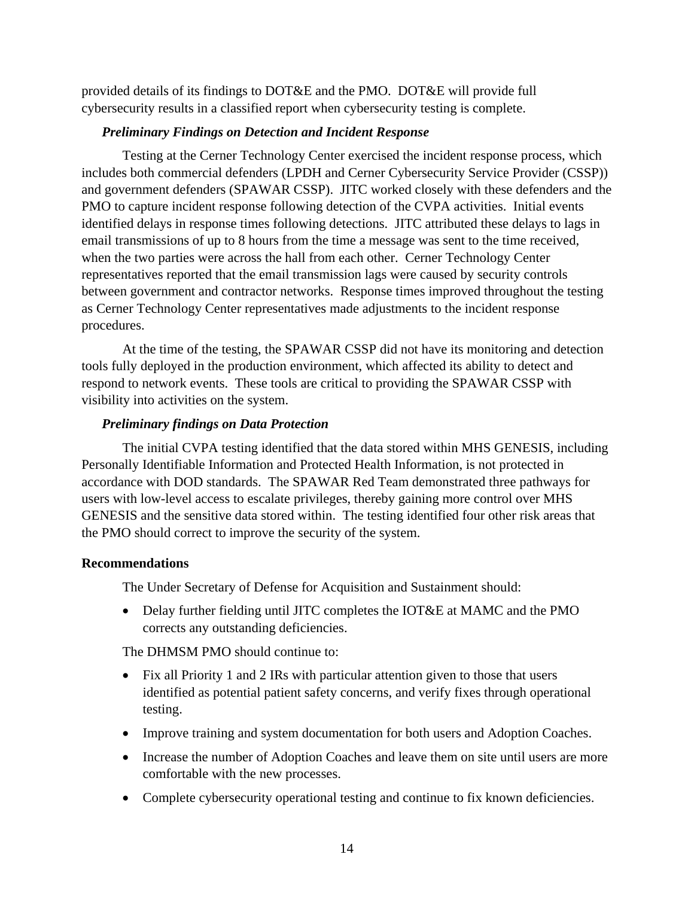provided details of its findings to DOT&E and the PMO. DOT&E will provide full cybersecurity results in a classified report when cybersecurity testing is complete.

## *Preliminary Findings on Detection and Incident Response*

Testing at the Cerner Technology Center exercised the incident response process, which includes both commercial defenders (LPDH and Cerner Cybersecurity Service Provider (CSSP)) and government defenders (SPAWAR CSSP). JITC worked closely with these defenders and the PMO to capture incident response following detection of the CVPA activities. Initial events identified delays in response times following detections. JITC attributed these delays to lags in email transmissions of up to 8 hours from the time a message was sent to the time received, when the two parties were across the hall from each other. Cerner Technology Center representatives reported that the email transmission lags were caused by security controls between government and contractor networks. Response times improved throughout the testing as Cerner Technology Center representatives made adjustments to the incident response procedures.

At the time of the testing, the SPAWAR CSSP did not have its monitoring and detection tools fully deployed in the production environment, which affected its ability to detect and respond to network events. These tools are critical to providing the SPAWAR CSSP with visibility into activities on the system.

# *Preliminary findings on Data Protection*

The initial CVPA testing identified that the data stored within MHS GENESIS, including Personally Identifiable Information and Protected Health Information, is not protected in accordance with DOD standards. The SPAWAR Red Team demonstrated three pathways for users with low-level access to escalate privileges, thereby gaining more control over MHS GENESIS and the sensitive data stored within. The testing identified four other risk areas that the PMO should correct to improve the security of the system.

# **Recommendations**

The Under Secretary of Defense for Acquisition and Sustainment should:

• Delay further fielding until JITC completes the IOT&E at MAMC and the PMO corrects any outstanding deficiencies.

The DHMSM PMO should continue to:

- Fix all Priority 1 and 2 IRs with particular attention given to those that users identified as potential patient safety concerns, and verify fixes through operational testing.
- Improve training and system documentation for both users and Adoption Coaches.
- Increase the number of Adoption Coaches and leave them on site until users are more comfortable with the new processes.
- Complete cybersecurity operational testing and continue to fix known deficiencies.